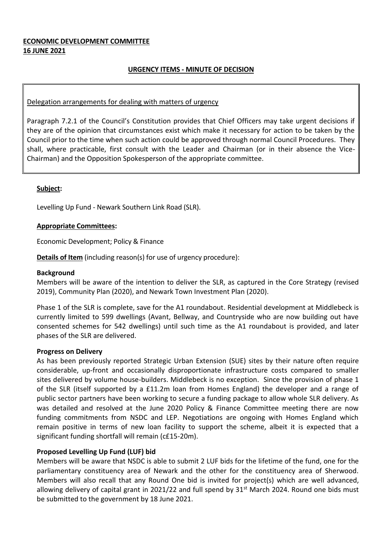# **ECONOMIC DEVELOPMENT COMMITTEE 16 JUNE 2021**

# **URGENCY ITEMS - MINUTE OF DECISION**

#### Delegation arrangements for dealing with matters of urgency

Paragraph 7.2.1 of the Council's Constitution provides that Chief Officers may take urgent decisions if they are of the opinion that circumstances exist which make it necessary for action to be taken by the Council prior to the time when such action could be approved through normal Council Procedures. They shall, where practicable, first consult with the Leader and Chairman (or in their absence the Vice-Chairman) and the Opposition Spokesperson of the appropriate committee.

#### **Subject:**

Levelling Up Fund - Newark Southern Link Road (SLR).

#### **Appropriate Committees:**

Economic Development; Policy & Finance

**Details of Item** (including reason(s) for use of urgency procedure):

#### **Background**

Members will be aware of the intention to deliver the SLR, as captured in the Core Strategy (revised 2019), Community Plan (2020), and Newark Town Investment Plan (2020).

Phase 1 of the SLR is complete, save for the A1 roundabout. Residential development at Middlebeck is currently limited to 599 dwellings (Avant, Bellway, and Countryside who are now building out have consented schemes for 542 dwellings) until such time as the A1 roundabout is provided, and later phases of the SLR are delivered.

#### **Progress on Delivery**

As has been previously reported Strategic Urban Extension (SUE) sites by their nature often require considerable, up-front and occasionally disproportionate infrastructure costs compared to smaller sites delivered by volume house-builders. Middlebeck is no exception. Since the provision of phase 1 of the SLR (itself supported by a £11.2m loan from Homes England) the developer and a range of public sector partners have been working to secure a funding package to allow whole SLR delivery. As was detailed and resolved at the June 2020 Policy & Finance Committee meeting there are now funding commitments from NSDC and LEP. Negotiations are ongoing with Homes England which remain positive in terms of new loan facility to support the scheme, albeit it is expected that a significant funding shortfall will remain (c£15-20m).

#### **Proposed Levelling Up Fund (LUF) bid**

Members will be aware that NSDC is able to submit 2 LUF bids for the lifetime of the fund, one for the parliamentary constituency area of Newark and the other for the constituency area of Sherwood. Members will also recall that any Round One bid is invited for project(s) which are well advanced, allowing delivery of capital grant in 2021/22 and full spend by  $31<sup>st</sup>$  March 2024. Round one bids must be submitted to the government by 18 June 2021.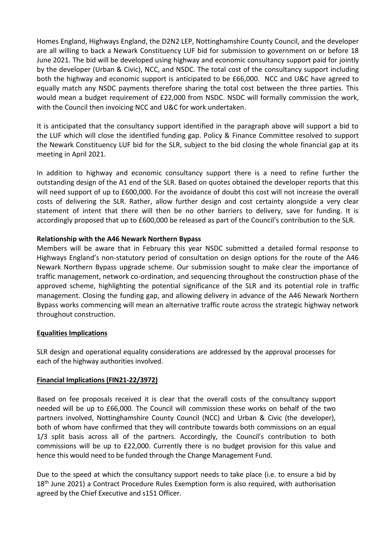Homes England, Highways England, the D2N2 LEP, Nottinghamshire County Council, and the developer are all willing to back a Newark Constituency LUF bid for submission to government on or before 18 June 2021. The bid will be developed using highway and economic consultancy support paid for jointly by the developer (Urban & Civic), NCC, and NSDC. The total cost of the consultancy support including both the highway and economic support is anticipated to be £66,000. NCC and U&C have agreed to equally match any NSDC payments therefore sharing the total cost between the three parties. This would mean a budget requirement of £22,000 from NSDC. NSDC will formally commission the work, with the Council then invoicing NCC and U&C for work undertaken.

It is anticipated that the consultancy support identified in the paragraph above will support a bid to the LUF which will close the identified funding gap. Policy & Finance Committee resolved to support the Newark Constituency LUF bid for the SLR, subject to the bid closing the whole financial gap at its meeting in April 2021.

In addition to highway and economic consultancy support there is a need to refine further the outstanding design of the A1 end of the SLR. Based on quotes obtained the developer reports that this will need support of up to £600,000. For the avoidance of doubt this cost will not increase the overall costs of delivering the SLR. Rather, allow further design and cost certainty alongside a very clear statement of intent that there will then be no other barriers to delivery, save for funding. It is accordingly proposed that up to £600,000 be released as part of the Council's contribution to the SLR.

#### **Relationship with the A46 Newark Northern Bypass**

Members will be aware that in February this year NSDC submitted a detailed formal response to Highways England's non-statutory period of consultation on design options for the route of the A46 Newark Northern Bypass upgrade scheme. Our submission sought to make clear the importance of traffic management, network co-ordination, and sequencing throughout the construction phase of the approved scheme, highlighting the potential significance of the SLR and its potential role in traffic management. Closing the funding gap, and allowing delivery in advance of the A46 Newark Northern Bypass works commencing will mean an alternative traffic route across the strategic highway network throughout construction.

#### **Equalities Implications**

SLR design and operational equality considerations are addressed by the approval processes for each of the highway authorities involved.

#### **Financial Implications (FIN21-22/3972)**

Based on fee proposals received it is clear that the overall costs of the consultancy support needed will be up to £66,000. The Council will commission these works on behalf of the two partners involved, Nottinghamshire County Council (NCC) and Urban & Civic (the developer), both of whom have confirmed that they will contribute towards both commissions on an equal 1/3 split basis across all of the partners. Accordingly, the Council's contribution to both commissions will be up to £22,000. Currently there is no budget provision for this value and hence this would need to be funded through the Change Management Fund.

Due to the speed at which the consultancy support needs to take place (i.e. to ensure a bid by  $18<sup>th</sup>$  June 2021) a Contract Procedure Rules Exemption form is also required, with authorisation agreed by the Chief Executive and s151 Officer.